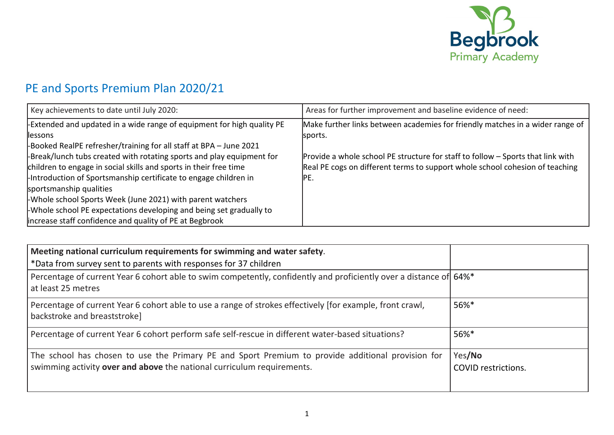

## PE and Sports Premium Plan 2020/21

| Key achievements to date until July 2020:                             | Areas for further improvement and baseline evidence of need:                    |
|-----------------------------------------------------------------------|---------------------------------------------------------------------------------|
| Extended and updated in a wide range of equipment for high quality PE | Make further links between academies for friendly matches in a wider range of   |
| <b>llessons</b>                                                       | sports.                                                                         |
| -Booked RealPE refresher/training for all staff at BPA - June 2021    |                                                                                 |
| -Break/lunch tubs created with rotating sports and play equipment for | Provide a whole school PE structure for staff to follow - Sports that link with |
| children to engage in social skills and sports in their free time     | Real PE cogs on different terms to support whole school cohesion of teaching    |
| Introduction of Sportsmanship certificate to engage children in       | IPE.                                                                            |
| sportsmanship qualities                                               |                                                                                 |
| -Whole school Sports Week (June 2021) with parent watchers            |                                                                                 |
| Whole school PE expectations developing and being set gradually to    |                                                                                 |
| increase staff confidence and quality of PE at Begbrook               |                                                                                 |

| Meeting national curriculum requirements for swimming and water safety.<br>*Data from survey sent to parents with responses for 37 children                                 |                                      |
|-----------------------------------------------------------------------------------------------------------------------------------------------------------------------------|--------------------------------------|
| Percentage of current Year 6 cohort able to swim competently, confidently and proficiently over a distance of 64%*<br>at least 25 metres                                    |                                      |
| Percentage of current Year 6 cohort able to use a range of strokes effectively [for example, front crawl,<br>backstroke and breaststroke]                                   | 56%*                                 |
| Percentage of current Year 6 cohort perform safe self-rescue in different water-based situations?                                                                           | 56%*                                 |
| The school has chosen to use the Primary PE and Sport Premium to provide additional provision for<br>swimming activity over and above the national curriculum requirements. | Yes/No<br><b>COVID</b> restrictions. |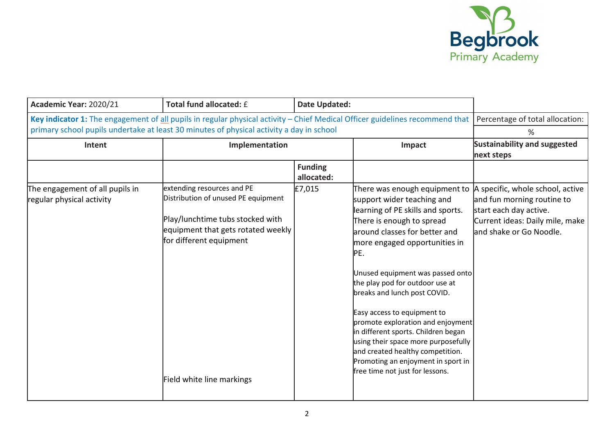

| Academic Year: 2020/21                                                                                                                                                                                                                                     | Total fund allocated: £                                                                                                                                                                             | <b>Date Updated:</b>         |                                                                                                                                                                                                                                                                                                                                                                                                                                                                                                                                                                              |                                                                                                                                                        |
|------------------------------------------------------------------------------------------------------------------------------------------------------------------------------------------------------------------------------------------------------------|-----------------------------------------------------------------------------------------------------------------------------------------------------------------------------------------------------|------------------------------|------------------------------------------------------------------------------------------------------------------------------------------------------------------------------------------------------------------------------------------------------------------------------------------------------------------------------------------------------------------------------------------------------------------------------------------------------------------------------------------------------------------------------------------------------------------------------|--------------------------------------------------------------------------------------------------------------------------------------------------------|
| Key indicator 1: The engagement of all pupils in regular physical activity - Chief Medical Officer guidelines recommend that   Percentage of total allocation:<br>primary school pupils undertake at least 30 minutes of physical activity a day in school |                                                                                                                                                                                                     | %                            |                                                                                                                                                                                                                                                                                                                                                                                                                                                                                                                                                                              |                                                                                                                                                        |
| Intent                                                                                                                                                                                                                                                     | Implementation                                                                                                                                                                                      |                              | Impact                                                                                                                                                                                                                                                                                                                                                                                                                                                                                                                                                                       | Sustainability and suggested<br>next steps                                                                                                             |
|                                                                                                                                                                                                                                                            |                                                                                                                                                                                                     | <b>Funding</b><br>allocated: |                                                                                                                                                                                                                                                                                                                                                                                                                                                                                                                                                                              |                                                                                                                                                        |
| The engagement of all pupils in<br>regular physical activity                                                                                                                                                                                               | extending resources and PE<br>Distribution of unused PE equipment<br>Play/lunchtime tubs stocked with<br>equipment that gets rotated weekly<br>for different equipment<br>Field white line markings | £7,015                       | There was enough equipment to<br>support wider teaching and<br>learning of PE skills and sports.<br>There is enough to spread<br>around classes for better and<br>more engaged opportunities in<br>PE.<br>Unused equipment was passed onto<br>the play pod for outdoor use at<br>breaks and lunch post COVID.<br>Easy access to equipment to<br>promote exploration and enjoyment<br>in different sports. Children began<br>using their space more purposefully<br>and created healthy competition.<br>Promoting an enjoyment in sport in<br>free time not just for lessons. | A specific, whole school, active<br>and fun morning routine to<br>start each day active.<br>Current ideas: Daily mile, make<br>and shake or Go Noodle. |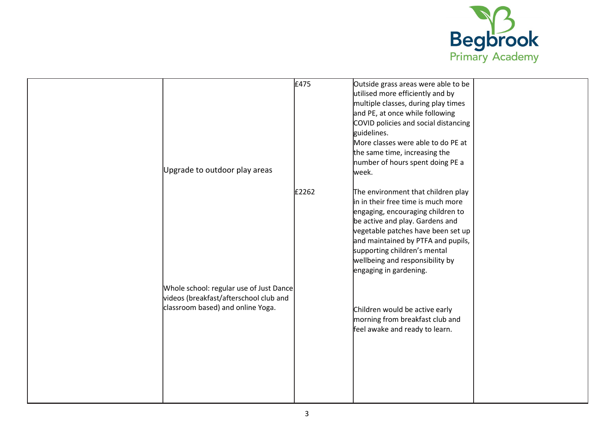

| Upgrade to outdoor play areas                                                                                          | £475  | Outside grass areas were able to be<br>utilised more efficiently and by<br>multiple classes, during play times<br>and PE, at once while following<br>COVID policies and social distancing<br>guidelines.<br>More classes were able to do PE at<br>the same time, increasing the<br>number of hours spent doing PE a<br>week. |  |
|------------------------------------------------------------------------------------------------------------------------|-------|------------------------------------------------------------------------------------------------------------------------------------------------------------------------------------------------------------------------------------------------------------------------------------------------------------------------------|--|
|                                                                                                                        | £2262 | The environment that children play<br>in in their free time is much more<br>engaging, encouraging children to<br>be active and play. Gardens and<br>vegetable patches have been set up<br>and maintained by PTFA and pupils,<br>supporting children's mental<br>wellbeing and responsibility by<br>engaging in gardening.    |  |
| Whole school: regular use of Just Dance<br>videos (breakfast/afterschool club and<br>classroom based) and online Yoga. |       | Children would be active early<br>morning from breakfast club and<br>feel awake and ready to learn.                                                                                                                                                                                                                          |  |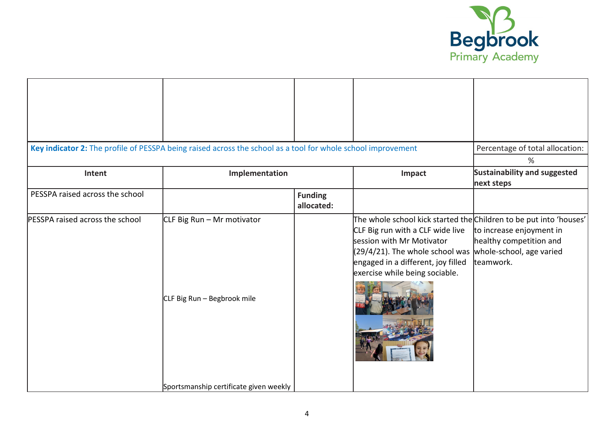

|                                 | Key indicator 2: The profile of PESSPA being raised across the school as a tool for whole school improvement |                              |                                                                                                                                                                                                                                                | Percentage of total allocation:<br>%                                                          |
|---------------------------------|--------------------------------------------------------------------------------------------------------------|------------------------------|------------------------------------------------------------------------------------------------------------------------------------------------------------------------------------------------------------------------------------------------|-----------------------------------------------------------------------------------------------|
| Intent                          | Implementation                                                                                               |                              | Impact                                                                                                                                                                                                                                         | <b>Sustainability and suggested</b><br>next steps                                             |
| PESSPA raised across the school |                                                                                                              | <b>Funding</b><br>allocated: |                                                                                                                                                                                                                                                |                                                                                               |
| PESSPA raised across the school | CLF Big Run - Mr motivator<br>CLF Big Run - Begbrook mile                                                    |                              | The whole school kick started the Children to be put into 'houses'<br>CLF Big run with a CLF wide live<br>session with Mr Motivator<br>(29/4/21). The whole school was<br>engaged in a different, joy filled<br>exercise while being sociable. | to increase enjoyment in<br>healthy competition and<br>whole-school, age varied<br>lteamwork. |
|                                 | Sportsmanship certificate given weekly                                                                       |                              |                                                                                                                                                                                                                                                |                                                                                               |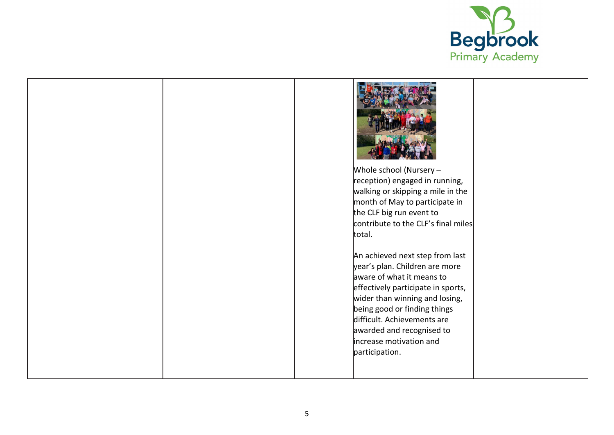

|  | Whole school (Nursery $-$<br>the CLF big run event to<br>total.        | reception) engaged in running,<br>walking or skipping a mile in the<br>month of May to participate in<br>contribute to the CLF's final miles                                                                                          |  |
|--|------------------------------------------------------------------------|---------------------------------------------------------------------------------------------------------------------------------------------------------------------------------------------------------------------------------------|--|
|  | aware of what it means to<br>increase motivation and<br>participation. | An achieved next step from last<br>year's plan. Children are more<br>effectively participate in sports,<br>wider than winning and losing,<br>being good or finding things<br>difficult. Achievements are<br>awarded and recognised to |  |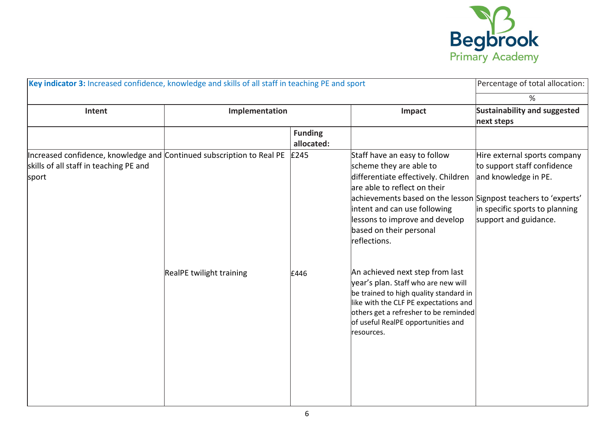

| Key indicator 3: Increased confidence, knowledge and skills of all staff in teaching PE and sport                        |                          |                              | Percentage of total allocation:                                                                                                                                                                                                                                                                                |                                                                                                                                                |
|--------------------------------------------------------------------------------------------------------------------------|--------------------------|------------------------------|----------------------------------------------------------------------------------------------------------------------------------------------------------------------------------------------------------------------------------------------------------------------------------------------------------------|------------------------------------------------------------------------------------------------------------------------------------------------|
|                                                                                                                          |                          |                              |                                                                                                                                                                                                                                                                                                                | %                                                                                                                                              |
| Intent                                                                                                                   | Implementation           |                              | Impact                                                                                                                                                                                                                                                                                                         | <b>Sustainability and suggested</b><br>next steps                                                                                              |
|                                                                                                                          |                          | <b>Funding</b><br>allocated: |                                                                                                                                                                                                                                                                                                                |                                                                                                                                                |
| Increased confidence, knowledge and Continued subscription to Real PE<br>skills of all staff in teaching PE and<br>sport |                          | £245                         | Staff have an easy to follow<br>scheme they are able to<br>differentiate effectively. Children<br>are able to reflect on their<br>achievements based on the lesson Signpost teachers to 'experts'<br>intent and can use following<br>lessons to improve and develop<br>based on their personal<br>reflections. | Hire external sports company<br>to support staff confidence<br>and knowledge in PE.<br>in specific sports to planning<br>support and guidance. |
|                                                                                                                          | RealPE twilight training | £446                         | An achieved next step from last<br>year's plan. Staff who are new will<br>be trained to high quality standard in<br>like with the CLF PE expectations and<br>others get a refresher to be reminded<br>of useful RealPE opportunities and<br>resources.                                                         |                                                                                                                                                |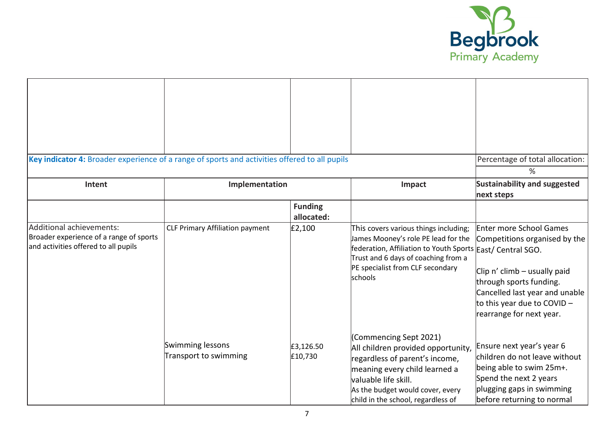

| Key indicator 4: Broader experience of a range of sports and activities offered to all pupils<br>Intent     | Implementation                            |                              | Impact                                                                                                                                                                                                                            | Percentage of total allocation:<br>$\%$<br><b>Sustainability and suggested</b><br>next steps                                                                                                                            |
|-------------------------------------------------------------------------------------------------------------|-------------------------------------------|------------------------------|-----------------------------------------------------------------------------------------------------------------------------------------------------------------------------------------------------------------------------------|-------------------------------------------------------------------------------------------------------------------------------------------------------------------------------------------------------------------------|
|                                                                                                             |                                           | <b>Funding</b><br>allocated: |                                                                                                                                                                                                                                   |                                                                                                                                                                                                                         |
| Additional achievements:<br>Broader experience of a range of sports<br>and activities offered to all pupils | <b>CLF Primary Affiliation payment</b>    | E2,100                       | This covers various things including;<br>James Mooney's role PE lead for the<br>federation, Affiliation to Youth Sports East/ Central SGO.<br>Trust and 6 days of coaching from a<br>PE specialist from CLF secondary<br>schools  | <b>Enter more School Games</b><br>Competitions organised by the<br>Clip n' climb - usually paid<br>through sports funding.<br>Cancelled last year and unable<br>to this year due to COVID -<br>rearrange for next year. |
|                                                                                                             | Swimming lessons<br>Transport to swimming | £3,126.50<br>£10,730         | (Commencing Sept 2021)<br>All children provided opportunity,<br>regardless of parent's income,<br>meaning every child learned a<br>valuable life skill.<br>As the budget would cover, every<br>child in the school, regardless of | Ensure next year's year 6<br>children do not leave without<br>being able to swim 25m+.<br>Spend the next 2 years<br>plugging gaps in swimming<br>before returning to normal                                             |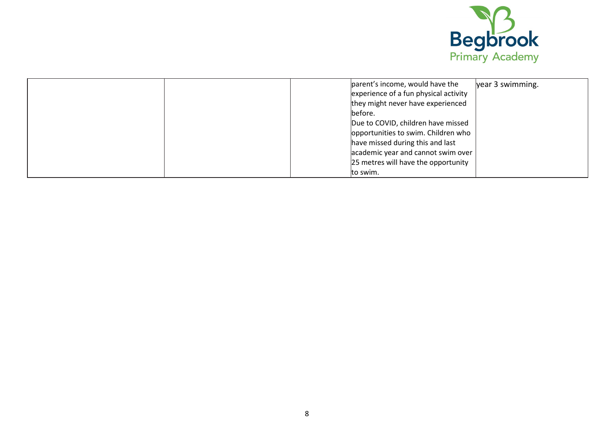

| parent's income, would have the<br>year 3 swimming. |
|-----------------------------------------------------|
| experience of a fun physical activity               |
| they might never have experienced                   |
| before.                                             |
| Due to COVID, children have missed                  |
| opportunities to swim. Children who                 |
| have missed during this and last                    |
| academic year and cannot swim over                  |
| 25 metres will have the opportunity                 |
| to swim.                                            |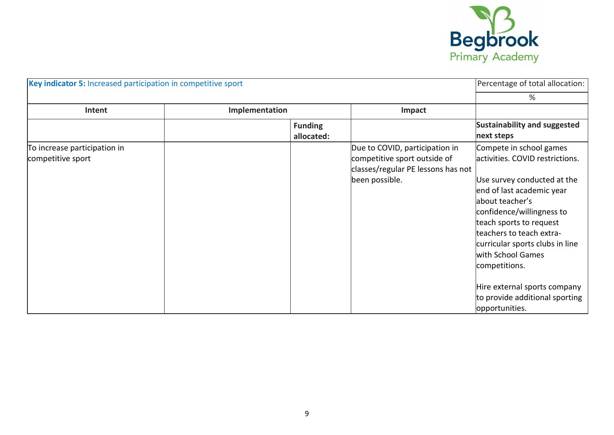

| Key indicator 5: Increased participation in competitive sport |                              | Percentage of total allocation:                                                                                        |                                                                                                                                                                                                                                                                                                                                                                                              |
|---------------------------------------------------------------|------------------------------|------------------------------------------------------------------------------------------------------------------------|----------------------------------------------------------------------------------------------------------------------------------------------------------------------------------------------------------------------------------------------------------------------------------------------------------------------------------------------------------------------------------------------|
|                                                               |                              |                                                                                                                        | %                                                                                                                                                                                                                                                                                                                                                                                            |
| Intent                                                        | Implementation               | Impact                                                                                                                 |                                                                                                                                                                                                                                                                                                                                                                                              |
|                                                               | <b>Funding</b><br>allocated: |                                                                                                                        | <b>Sustainability and suggested</b><br>next steps                                                                                                                                                                                                                                                                                                                                            |
| To increase participation in<br>competitive sport             |                              | Due to COVID, participation in<br>competitive sport outside of<br>classes/regular PE lessons has not<br>been possible. | Compete in school games<br>lactivities. COVID restrictions.<br>Use survey conducted at the<br>end of last academic year<br>labout teacher's<br>confidence/willingness to<br>teach sports to request<br>teachers to teach extra-<br>curricular sports clubs in line<br>with School Games<br>competitions.<br>Hire external sports company<br>to provide additional sporting<br>opportunities. |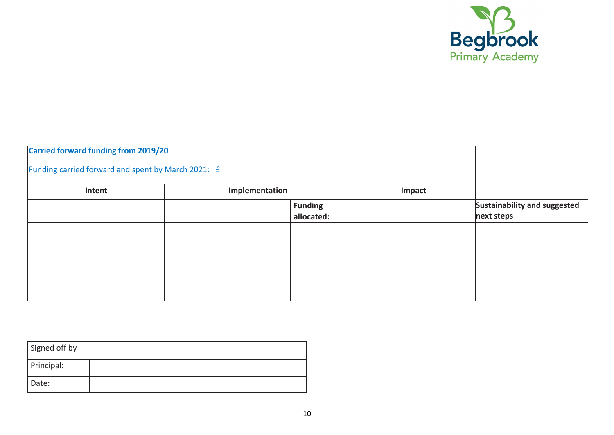

| <b>Carried forward funding from 2019/20</b>        |                |                              |        |                                            |
|----------------------------------------------------|----------------|------------------------------|--------|--------------------------------------------|
| Funding carried forward and spent by March 2021: £ |                |                              |        |                                            |
| Intent                                             | Implementation |                              | Impact |                                            |
|                                                    |                | <b>Funding</b><br>allocated: |        | Sustainability and suggested<br>next steps |
|                                                    |                |                              |        |                                            |
|                                                    |                |                              |        |                                            |
|                                                    |                |                              |        |                                            |
|                                                    |                |                              |        |                                            |

| Signed off by |  |
|---------------|--|
| Principal:    |  |
| Date:         |  |